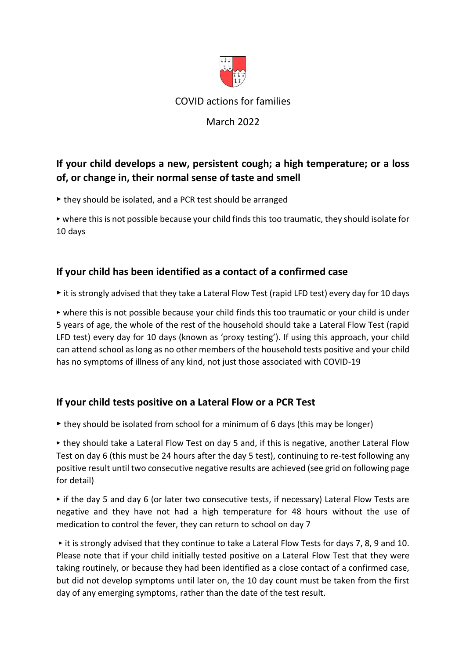

COVID actions for families

# March 2022

# **If your child develops a new, persistent cough; a high temperature; or a loss of, or change in, their normal sense of taste and smell**

‣ they should be isolated, and a PCR test should be arranged

‣ where this is not possible because your child finds this too traumatic, they should isolate for 10 days

### **If your child has been identified as a contact of a confirmed case**

‣ it is strongly advised that they take a Lateral Flow Test (rapid LFD test) every day for 10 days

‣ where this is not possible because your child finds this too traumatic or your child is under 5 years of age, the whole of the rest of the household should take a Lateral Flow Test (rapid LFD test) every day for 10 days (known as 'proxy testing'). If using this approach, your child can attend school as long as no other members of the household tests positive and your child has no symptoms of illness of any kind, not just those associated with COVID-19

#### **If your child tests positive on a Lateral Flow or a PCR Test**

 $\triangleright$  they should be isolated from school for a minimum of 6 days (this may be longer)

‣ they should take a Lateral Flow Test on day 5 and, if this is negative, another Lateral Flow Test on day 6 (this must be 24 hours after the day 5 test), continuing to re-test following any positive result until two consecutive negative results are achieved (see grid on following page for detail)

 $\triangleright$  if the day 5 and day 6 (or later two consecutive tests, if necessary) Lateral Flow Tests are negative and they have not had a high temperature for 48 hours without the use of medication to control the fever, they can return to school on day 7

‣ it is strongly advised that they continue to take a Lateral Flow Tests for days 7, 8, 9 and 10. Please note that if your child initially tested positive on a Lateral Flow Test that they were taking routinely, or because they had been identified as a close contact of a confirmed case, but did not develop symptoms until later on, the 10 day count must be taken from the first day of any emerging symptoms, rather than the date of the test result.